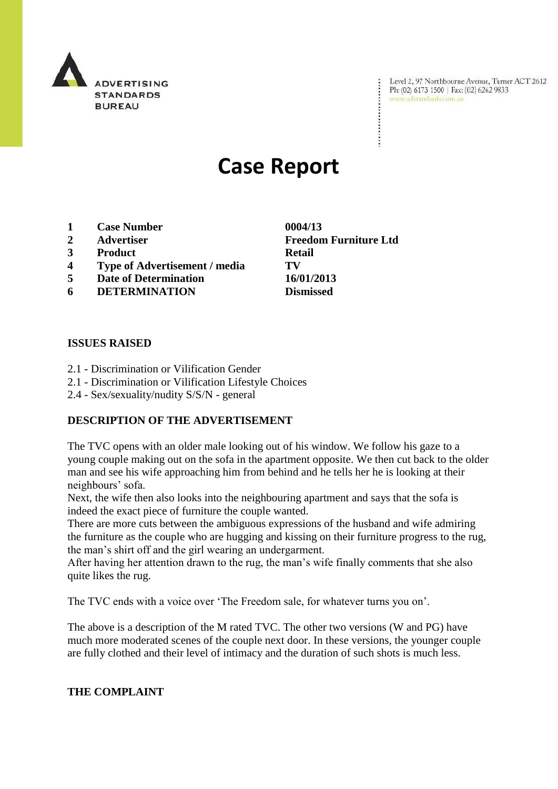

Level 2, 97 Northbourne Avenue, Turner ACT 2612 Ph: (02) 6173 1500 | Fax: (02) 6262 9833 www.adstandards.com.au

# **Case Report**

- **1 Case Number 0004/13**
- 
- **3 Product Retail**
- **4 Type of Advertisement / media TV**
- **5 Date of Determination 16/01/2013**
- **6 DETERMINATION Dismissed**

#### **ISSUES RAISED**

- 2.1 Discrimination or Vilification Gender
- 2.1 Discrimination or Vilification Lifestyle Choices
- 2.4 Sex/sexuality/nudity S/S/N general

# **DESCRIPTION OF THE ADVERTISEMENT**

The TVC opens with an older male looking out of his window. We follow his gaze to a young couple making out on the sofa in the apartment opposite. We then cut back to the older man and see his wife approaching him from behind and he tells her he is looking at their neighbours' sofa.

Next, the wife then also looks into the neighbouring apartment and says that the sofa is indeed the exact piece of furniture the couple wanted.

There are more cuts between the ambiguous expressions of the husband and wife admiring the furniture as the couple who are hugging and kissing on their furniture progress to the rug, the man"s shirt off and the girl wearing an undergarment.

After having her attention drawn to the rug, the man"s wife finally comments that she also quite likes the rug.

The TVC ends with a voice over "The Freedom sale, for whatever turns you on".

The above is a description of the M rated TVC. The other two versions (W and PG) have much more moderated scenes of the couple next door. In these versions, the younger couple are fully clothed and their level of intimacy and the duration of such shots is much less.

#### **THE COMPLAINT**

**2 Advertiser Freedom Furniture Ltd**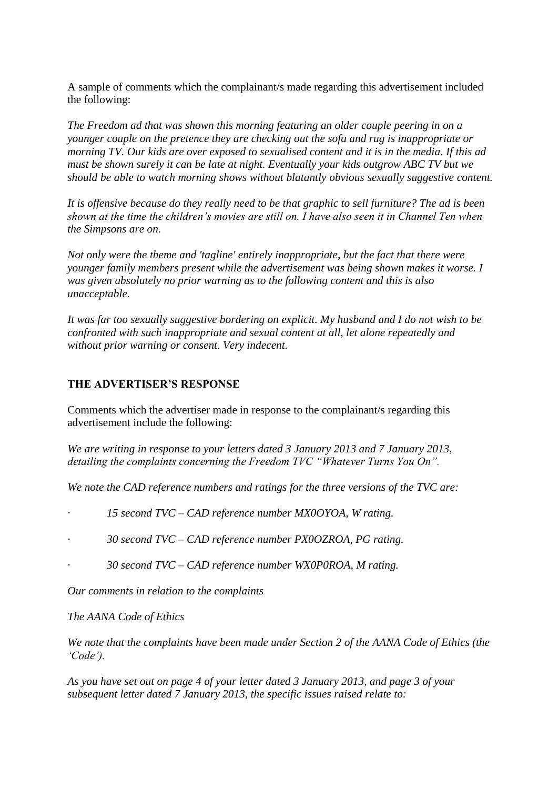A sample of comments which the complainant/s made regarding this advertisement included the following:

*The Freedom ad that was shown this morning featuring an older couple peering in on a younger couple on the pretence they are checking out the sofa and rug is inappropriate or morning TV. Our kids are over exposed to sexualised content and it is in the media. If this ad must be shown surely it can be late at night. Eventually your kids outgrow ABC TV but we should be able to watch morning shows without blatantly obvious sexually suggestive content.*

*It is offensive because do they really need to be that graphic to sell furniture? The ad is been shown at the time the children"s movies are still on. I have also seen it in Channel Ten when the Simpsons are on.*

*Not only were the theme and 'tagline' entirely inappropriate, but the fact that there were younger family members present while the advertisement was being shown makes it worse. I was given absolutely no prior warning as to the following content and this is also unacceptable.*

*It was far too sexually suggestive bordering on explicit. My husband and I do not wish to be confronted with such inappropriate and sexual content at all, let alone repeatedly and without prior warning or consent. Very indecent.*

# **THE ADVERTISER'S RESPONSE**

Comments which the advertiser made in response to the complainant/s regarding this advertisement include the following:

*We are writing in response to your letters dated 3 January 2013 and 7 January 2013, detailing the complaints concerning the Freedom TVC "Whatever Turns You On".*

*We note the CAD reference numbers and ratings for the three versions of the TVC are:*

*· 15 second TVC – CAD reference number MX0OYOA, W rating.*

*· 30 second TVC – CAD reference number PX0OZROA, PG rating.*

*· 30 second TVC – CAD reference number WX0P0ROA, M rating.*

*Our comments in relation to the complaints*

*The AANA Code of Ethics* 

*We note that the complaints have been made under Section 2 of the AANA Code of Ethics (the "Code").* 

*As you have set out on page 4 of your letter dated 3 January 2013, and page 3 of your subsequent letter dated 7 January 2013, the specific issues raised relate to:*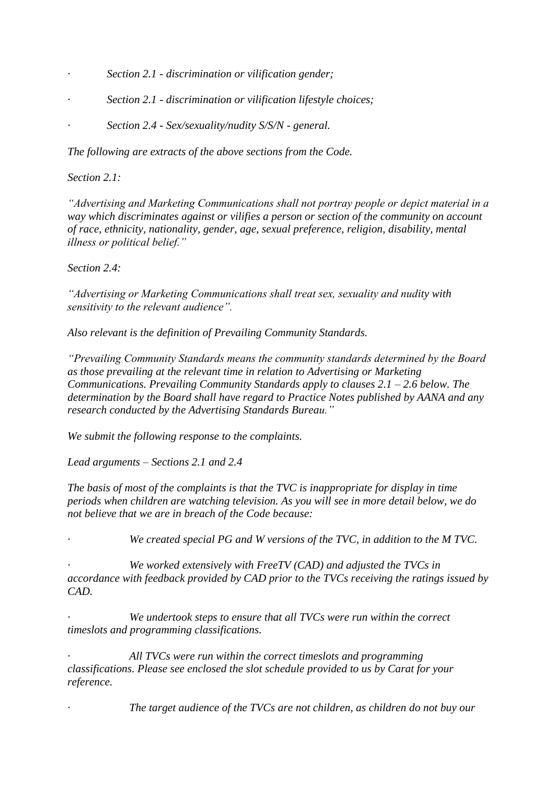- *· Section 2.1 - discrimination or vilification gender;*
- *· Section 2.1 - discrimination or vilification lifestyle choices;*
- *· Section 2.4 - Sex/sexuality/nudity S/S/N - general.*

*The following are extracts of the above sections from the Code.*

#### *Section 2.1:*

*"Advertising and Marketing Communications shall not portray people or depict material in a way which discriminates against or vilifies a person or section of the community on account of race, ethnicity, nationality, gender, age, sexual preference, religion, disability, mental illness or political belief."*

*Section 2.4:*

*"Advertising or Marketing Communications shall treat sex, sexuality and nudity with sensitivity to the relevant audience".*

*Also relevant is the definition of Prevailing Community Standards.* 

*"Prevailing Community Standards means the community standards determined by the Board as those prevailing at the relevant time in relation to Advertising or Marketing Communications. Prevailing Community Standards apply to clauses 2.1 – 2.6 below. The determination by the Board shall have regard to Practice Notes published by AANA and any research conducted by the Advertising Standards Bureau."*

*We submit the following response to the complaints.*

*Lead arguments – Sections 2.1 and 2.4*

*The basis of most of the complaints is that the TVC is inappropriate for display in time periods when children are watching television. As you will see in more detail below, we do not believe that we are in breach of the Code because:*

We created special PG and W versions of the TVC, in addition to the M TVC.

*· We worked extensively with FreeTV (CAD) and adjusted the TVCs in accordance with feedback provided by CAD prior to the TVCs receiving the ratings issued by CAD.* 

*· We undertook steps to ensure that all TVCs were run within the correct timeslots and programming classifications.* 

*· All TVCs were run within the correct timeslots and programming classifications. Please see enclosed the slot schedule provided to us by Carat for your reference.* 

*· The target audience of the TVCs are not children, as children do not buy our*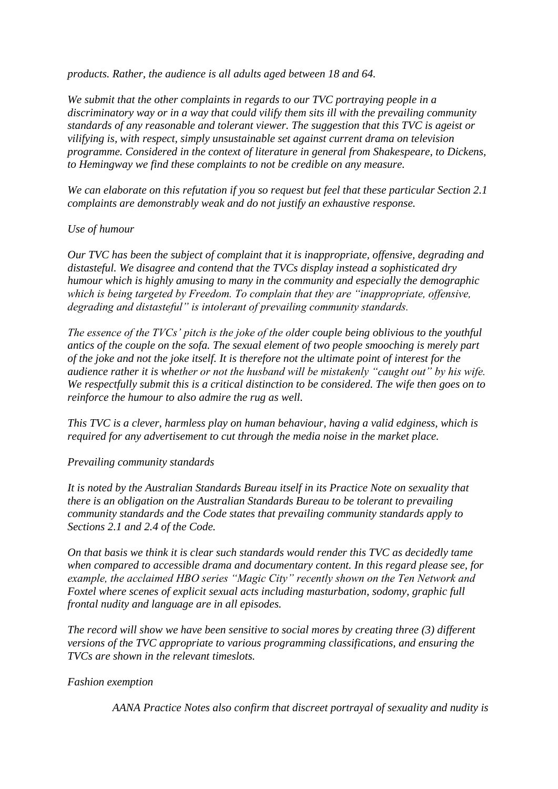*products. Rather, the audience is all adults aged between 18 and 64.* 

*We submit that the other complaints in regards to our TVC portraying people in a discriminatory way or in a way that could vilify them sits ill with the prevailing community standards of any reasonable and tolerant viewer. The suggestion that this TVC is ageist or vilifying is, with respect, simply unsustainable set against current drama on television programme. Considered in the context of literature in general from Shakespeare, to Dickens, to Hemingway we find these complaints to not be credible on any measure.*

*We can elaborate on this refutation if you so request but feel that these particular Section 2.1 complaints are demonstrably weak and do not justify an exhaustive response.*

# *Use of humour*

*Our TVC has been the subject of complaint that it is inappropriate, offensive, degrading and distasteful. We disagree and contend that the TVCs display instead a sophisticated dry humour which is highly amusing to many in the community and especially the demographic which is being targeted by Freedom. To complain that they are "inappropriate, offensive, degrading and distasteful" is intolerant of prevailing community standards.*

*The essence of the TVCs" pitch is the joke of the older couple being oblivious to the youthful antics of the couple on the sofa. The sexual element of two people smooching is merely part of the joke and not the joke itself. It is therefore not the ultimate point of interest for the audience rather it is whether or not the husband will be mistakenly "caught out" by his wife. We respectfully submit this is a critical distinction to be considered. The wife then goes on to reinforce the humour to also admire the rug as well.*

*This TVC is a clever, harmless play on human behaviour, having a valid edginess, which is required for any advertisement to cut through the media noise in the market place.* 

*Prevailing community standards*

*It is noted by the Australian Standards Bureau itself in its Practice Note on sexuality that there is an obligation on the Australian Standards Bureau to be tolerant to prevailing community standards and the Code states that prevailing community standards apply to Sections 2.1 and 2.4 of the Code.* 

*On that basis we think it is clear such standards would render this TVC as decidedly tame when compared to accessible drama and documentary content. In this regard please see, for example, the acclaimed HBO series "Magic City" recently shown on the Ten Network and Foxtel where scenes of explicit sexual acts including masturbation, sodomy, graphic full frontal nudity and language are in all episodes.* 

*The record will show we have been sensitive to social mores by creating three (3) different versions of the TVC appropriate to various programming classifications, and ensuring the TVCs are shown in the relevant timeslots.*

#### *Fashion exemption*

 *AANA Practice Notes also confirm that discreet portrayal of sexuality and nudity is*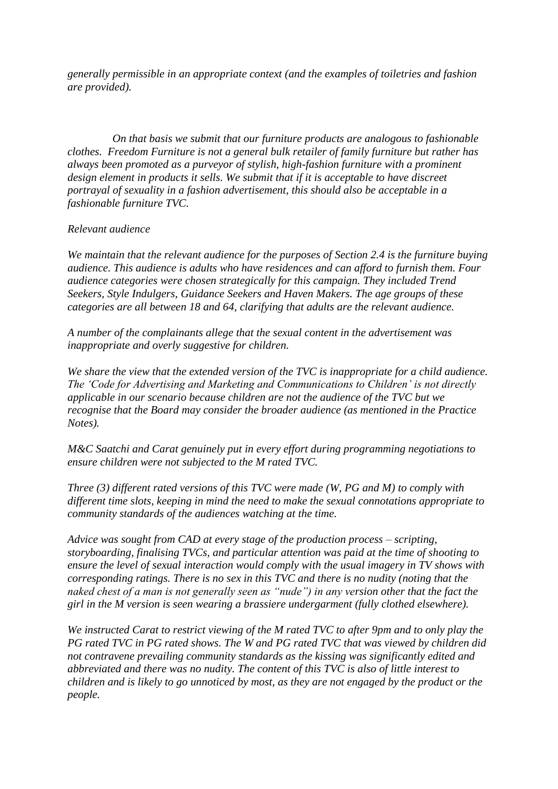*generally permissible in an appropriate context (and the examples of toiletries and fashion are provided).* 

 *On that basis we submit that our furniture products are analogous to fashionable clothes. Freedom Furniture is not a general bulk retailer of family furniture but rather has always been promoted as a purveyor of stylish, high-fashion furniture with a prominent design element in products it sells. We submit that if it is acceptable to have discreet portrayal of sexuality in a fashion advertisement, this should also be acceptable in a fashionable furniture TVC.*

#### *Relevant audience*

*We maintain that the relevant audience for the purposes of Section 2.4 is the furniture buying audience. This audience is adults who have residences and can afford to furnish them. Four audience categories were chosen strategically for this campaign. They included Trend Seekers, Style Indulgers, Guidance Seekers and Haven Makers. The age groups of these categories are all between 18 and 64, clarifying that adults are the relevant audience.*

*A number of the complainants allege that the sexual content in the advertisement was inappropriate and overly suggestive for children.* 

*We share the view that the extended version of the TVC is inappropriate for a child audience. The "Code for Advertising and Marketing and Communications to Children" is not directly applicable in our scenario because children are not the audience of the TVC but we recognise that the Board may consider the broader audience (as mentioned in the Practice Notes).* 

*M&C Saatchi and Carat genuinely put in every effort during programming negotiations to ensure children were not subjected to the M rated TVC.*

*Three (3) different rated versions of this TVC were made (W, PG and M) to comply with different time slots, keeping in mind the need to make the sexual connotations appropriate to community standards of the audiences watching at the time.* 

*Advice was sought from CAD at every stage of the production process – scripting, storyboarding, finalising TVCs, and particular attention was paid at the time of shooting to ensure the level of sexual interaction would comply with the usual imagery in TV shows with corresponding ratings. There is no sex in this TVC and there is no nudity (noting that the naked chest of a man is not generally seen as "nude") in any version other that the fact the girl in the M version is seen wearing a brassiere undergarment (fully clothed elsewhere).* 

*We instructed Carat to restrict viewing of the M rated TVC to after 9pm and to only play the PG rated TVC in PG rated shows. The W and PG rated TVC that was viewed by children did not contravene prevailing community standards as the kissing was significantly edited and abbreviated and there was no nudity. The content of this TVC is also of little interest to children and is likely to go unnoticed by most, as they are not engaged by the product or the people.*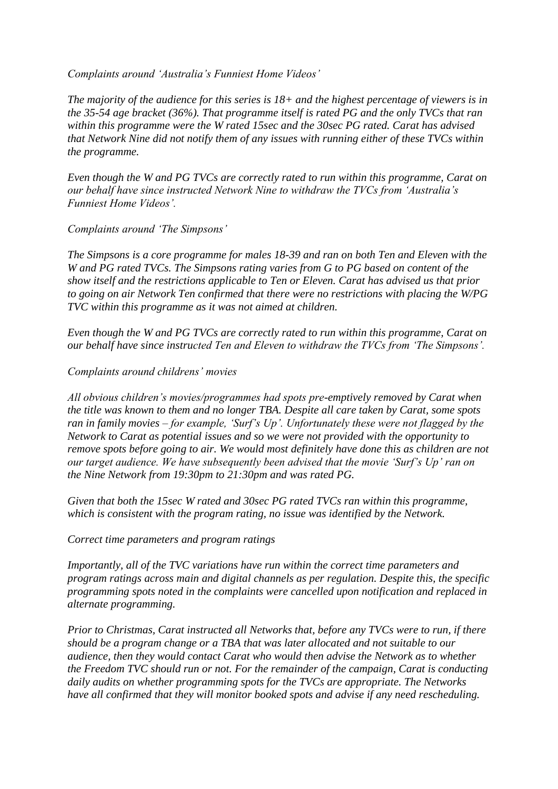*Complaints around "Australia"s Funniest Home Videos"*

*The majority of the audience for this series is 18+ and the highest percentage of viewers is in the 35-54 age bracket (36%). That programme itself is rated PG and the only TVCs that ran within this programme were the W rated 15sec and the 30sec PG rated. Carat has advised that Network Nine did not notify them of any issues with running either of these TVCs within the programme.*

*Even though the W and PG TVCs are correctly rated to run within this programme, Carat on our behalf have since instructed Network Nine to withdraw the TVCs from "Australia"s Funniest Home Videos".* 

*Complaints around "The Simpsons"*

*The Simpsons is a core programme for males 18-39 and ran on both Ten and Eleven with the W and PG rated TVCs. The Simpsons rating varies from G to PG based on content of the show itself and the restrictions applicable to Ten or Eleven. Carat has advised us that prior to going on air Network Ten confirmed that there were no restrictions with placing the W/PG TVC within this programme as it was not aimed at children.*

*Even though the W and PG TVCs are correctly rated to run within this programme, Carat on our behalf have since instructed Ten and Eleven to withdraw the TVCs from "The Simpsons".* 

# *Complaints around childrens" movies*

*All obvious children"s movies/programmes had spots pre-emptively removed by Carat when the title was known to them and no longer TBA. Despite all care taken by Carat, some spots ran in family movies – for example, "Surf"s Up". Unfortunately these were not flagged by the Network to Carat as potential issues and so we were not provided with the opportunity to remove spots before going to air. We would most definitely have done this as children are not our target audience. We have subsequently been advised that the movie "Surf"s Up" ran on the Nine Network from 19:30pm to 21:30pm and was rated PG.* 

*Given that both the 15sec W rated and 30sec PG rated TVCs ran within this programme, which is consistent with the program rating, no issue was identified by the Network.*

*Correct time parameters and program ratings*

*Importantly, all of the TVC variations have run within the correct time parameters and program ratings across main and digital channels as per regulation. Despite this, the specific programming spots noted in the complaints were cancelled upon notification and replaced in alternate programming.*

*Prior to Christmas, Carat instructed all Networks that, before any TVCs were to run, if there should be a program change or a TBA that was later allocated and not suitable to our audience, then they would contact Carat who would then advise the Network as to whether the Freedom TVC should run or not. For the remainder of the campaign, Carat is conducting daily audits on whether programming spots for the TVCs are appropriate. The Networks have all confirmed that they will monitor booked spots and advise if any need rescheduling.*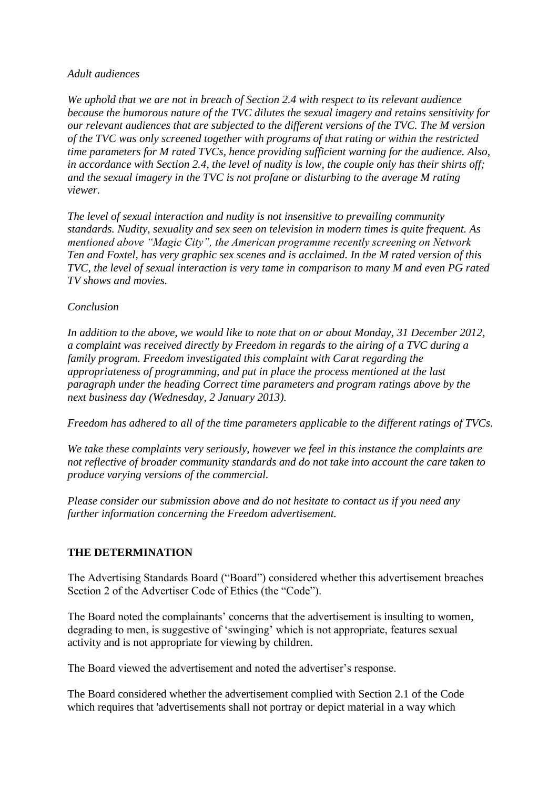#### *Adult audiences*

*We uphold that we are not in breach of Section 2.4 with respect to its relevant audience because the humorous nature of the TVC dilutes the sexual imagery and retains sensitivity for our relevant audiences that are subjected to the different versions of the TVC. The M version of the TVC was only screened together with programs of that rating or within the restricted time parameters for M rated TVCs, hence providing sufficient warning for the audience. Also, in accordance with Section 2.4, the level of nudity is low, the couple only has their shirts off; and the sexual imagery in the TVC is not profane or disturbing to the average M rating viewer.*

*The level of sexual interaction and nudity is not insensitive to prevailing community standards. Nudity, sexuality and sex seen on television in modern times is quite frequent. As mentioned above "Magic City", the American programme recently screening on Network Ten and Foxtel, has very graphic sex scenes and is acclaimed. In the M rated version of this TVC, the level of sexual interaction is very tame in comparison to many M and even PG rated TV shows and movies.* 

# *Conclusion*

*In addition to the above, we would like to note that on or about Monday, 31 December 2012, a complaint was received directly by Freedom in regards to the airing of a TVC during a family program. Freedom investigated this complaint with Carat regarding the appropriateness of programming, and put in place the process mentioned at the last paragraph under the heading Correct time parameters and program ratings above by the next business day (Wednesday, 2 January 2013).* 

*Freedom has adhered to all of the time parameters applicable to the different ratings of TVCs.* 

*We take these complaints very seriously, however we feel in this instance the complaints are not reflective of broader community standards and do not take into account the care taken to produce varying versions of the commercial.* 

*Please consider our submission above and do not hesitate to contact us if you need any further information concerning the Freedom advertisement.*

# **THE DETERMINATION**

The Advertising Standards Board ("Board") considered whether this advertisement breaches Section 2 of the Advertiser Code of Ethics (the "Code").

The Board noted the complainants' concerns that the advertisement is insulting to women, degrading to men, is suggestive of 'swinging' which is not appropriate, features sexual activity and is not appropriate for viewing by children.

The Board viewed the advertisement and noted the advertiser"s response.

The Board considered whether the advertisement complied with Section 2.1 of the Code which requires that 'advertisements shall not portray or depict material in a way which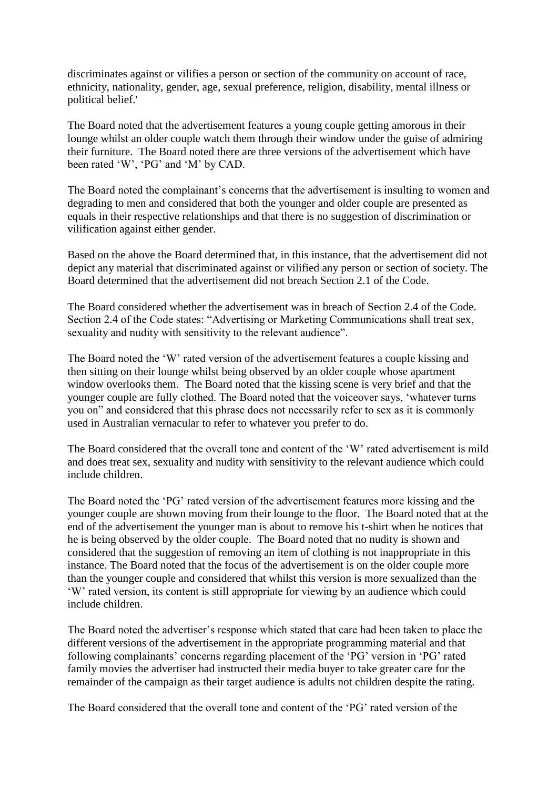discriminates against or vilifies a person or section of the community on account of race, ethnicity, nationality, gender, age, sexual preference, religion, disability, mental illness or political belief.'

The Board noted that the advertisement features a young couple getting amorous in their lounge whilst an older couple watch them through their window under the guise of admiring their furniture. The Board noted there are three versions of the advertisement which have been rated 'W', 'PG' and 'M' by CAD.

The Board noted the complainant's concerns that the advertisement is insulting to women and degrading to men and considered that both the younger and older couple are presented as equals in their respective relationships and that there is no suggestion of discrimination or vilification against either gender.

Based on the above the Board determined that, in this instance, that the advertisement did not depict any material that discriminated against or vilified any person or section of society. The Board determined that the advertisement did not breach Section 2.1 of the Code.

The Board considered whether the advertisement was in breach of Section 2.4 of the Code. Section 2.4 of the Code states: "Advertising or Marketing Communications shall treat sex, sexuality and nudity with sensitivity to the relevant audience".

The Board noted the "W" rated version of the advertisement features a couple kissing and then sitting on their lounge whilst being observed by an older couple whose apartment window overlooks them. The Board noted that the kissing scene is very brief and that the younger couple are fully clothed. The Board noted that the voiceover says, "whatever turns you on" and considered that this phrase does not necessarily refer to sex as it is commonly used in Australian vernacular to refer to whatever you prefer to do.

The Board considered that the overall tone and content of the "W" rated advertisement is mild and does treat sex, sexuality and nudity with sensitivity to the relevant audience which could include children.

The Board noted the "PG" rated version of the advertisement features more kissing and the younger couple are shown moving from their lounge to the floor. The Board noted that at the end of the advertisement the younger man is about to remove his t-shirt when he notices that he is being observed by the older couple. The Board noted that no nudity is shown and considered that the suggestion of removing an item of clothing is not inappropriate in this instance. The Board noted that the focus of the advertisement is on the older couple more than the younger couple and considered that whilst this version is more sexualized than the "W" rated version, its content is still appropriate for viewing by an audience which could include children.

The Board noted the advertiser"s response which stated that care had been taken to place the different versions of the advertisement in the appropriate programming material and that following complainants' concerns regarding placement of the 'PG' version in 'PG' rated family movies the advertiser had instructed their media buyer to take greater care for the remainder of the campaign as their target audience is adults not children despite the rating.

The Board considered that the overall tone and content of the "PG" rated version of the